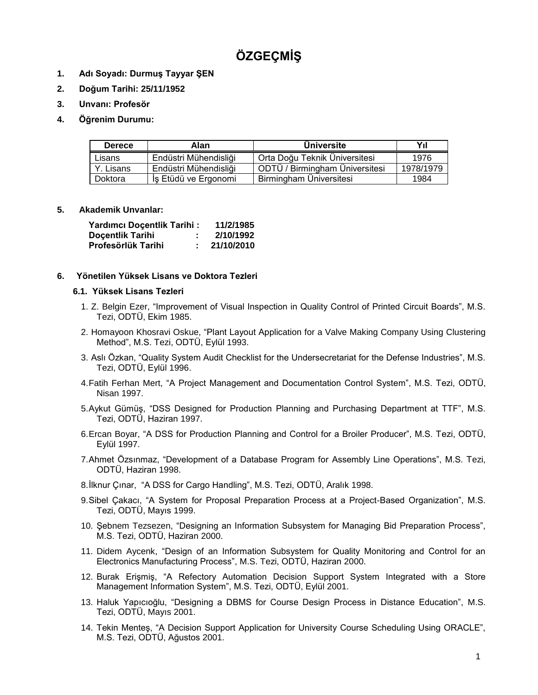# **ÖZGEÇMİŞ**

- **1. Adı Soyadı: Durmuş Tayyar ŞEN**
- **2. Doğum Tarihi: 25/11/1952**
- **3. Unvanı: Profesör**
- **4. Öğrenim Durumu:**

| <b>Derece</b> | Alan                  | <b>Universite</b>              | Yıl       |
|---------------|-----------------------|--------------------------------|-----------|
| Lisans        | Endüstri Mühendisliği | Orta Doğu Teknik Üniversitesi  | 1976      |
| Y. Lisans     | Endüstri Mühendisliği | ODTÜ / Birmingham Üniversitesi | 1978/1979 |
| Doktora       | İş Etüdü ve Ergonomi  | Birmingham Üniversitesi        | 1984      |

# **5. Akademik Unvanlar:**

| Yardımcı Doçentlik Tarihi : | 11/2/1985  |  |
|-----------------------------|------------|--|
| <b>Docentlik Tarihi</b>     | 2/10/1992  |  |
| Profesörlük Tarihi          | 21/10/2010 |  |

# **6. Yönetilen Yüksek Lisans ve Doktora Tezleri**

## **6.1. Yüksek Lisans Tezleri**

- 1. Z. Belgin Ezer, "Improvement of Visual Inspection in Quality Control of Printed Circuit Boards", M.S. Tezi, ODTÜ, Ekim 1985.
- 2. Homayoon Khosravi Oskue, "Plant Layout Application for a Valve Making Company Using Clustering Method", M.S. Tezi, ODTÜ, Eylül 1993.
- 3. Aslı Özkan, "Quality System Audit Checklist for the Undersecretariat for the Defense Industries", M.S. Tezi, ODTÜ, Eylül 1996.
- 4.Fatih Ferhan Mert, "A Project Management and Documentation Control System", M.S. Tezi, ODTÜ, Nisan 1997.
- 5.Aykut Gümüş, "DSS Designed for Production Planning and Purchasing Department at TTF", M.S. Tezi, ODTÜ, Haziran 1997.
- 6.Ercan Boyar, "A DSS for Production Planning and Control for a Broiler Producer", M.S. Tezi, ODTÜ, Eylül 1997.
- 7.Ahmet Özsınmaz, "Development of a Database Program for Assembly Line Operations", M.S. Tezi, ODTÜ, Haziran 1998.
- 8.İlknur Çınar, "A DSS for Cargo Handling", M.S. Tezi, ODTÜ, Aralık 1998.
- 9.Sibel Çakacı, "A System for Proposal Preparation Process at a Project-Based Organization", M.S. Tezi, ODTÜ, Mayıs 1999.
- 10. Şebnem Tezsezen, "Designing an Information Subsystem for Managing Bid Preparation Process", M.S. Tezi, ODTÜ, Haziran 2000.
- 11. Didem Aycenk, "Design of an Information Subsystem for Quality Monitoring and Control for an Electronics Manufacturing Process", M.S. Tezi, ODTÜ, Haziran 2000.
- 12. Burak Erişmiş, "A Refectory Automation Decision Support System Integrated with a Store Management Information System", M.S. Tezi, ODTÜ, Eylül 2001.
- 13. Haluk Yapıcıoğlu, "Designing a DBMS for Course Design Process in Distance Education", M.S. Tezi, ODTÜ, Mayıs 2001.
- 14. Tekin Menteş, "A Decision Support Application for University Course Scheduling Using ORACLE", M.S. Tezi, ODTÜ, Ağustos 2001.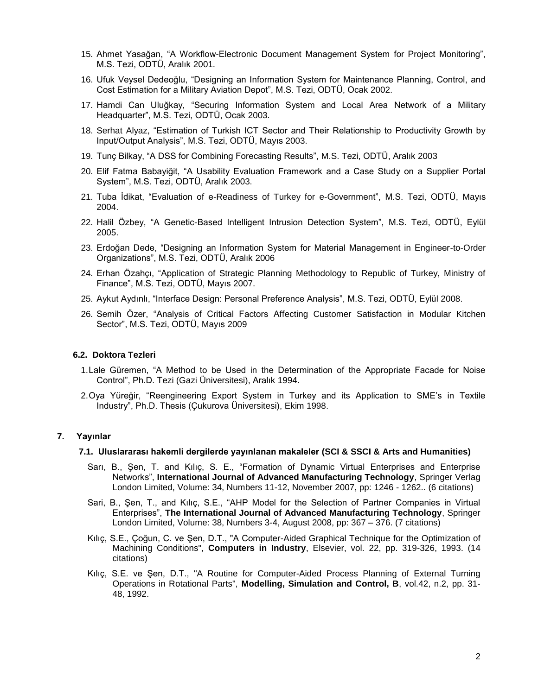- 15. Ahmet Yasağan, "A Workflow-Electronic Document Management System for Project Monitoring", M.S. Tezi, ODTÜ, Aralık 2001.
- 16. Ufuk Veysel Dedeoğlu, "Designing an Information System for Maintenance Planning, Control, and Cost Estimation for a Military Aviation Depot", M.S. Tezi, ODTÜ, Ocak 2002.
- 17. Hamdi Can Uluğkay, "Securing Information System and Local Area Network of a Military Headquarter", M.S. Tezi, ODTÜ, Ocak 2003.
- 18. Serhat Alyaz, "Estimation of Turkish ICT Sector and Their Relationship to Productivity Growth by Input/Output Analysis", M.S. Tezi, ODTÜ, Mayıs 2003.
- 19. Tunç Bilkay, "A DSS for Combining Forecasting Results", M.S. Tezi, ODTÜ, Aralık 2003
- 20. Elif Fatma Babayiğit, "A Usability Evaluation Framework and a Case Study on a Supplier Portal System", M.S. Tezi, ODTÜ, Aralık 2003.
- 21. Tuba İdikat, "Evaluation of e-Readiness of Turkey for e-Government", M.S. Tezi, ODTÜ, Mayıs 2004.
- 22. Halil Özbey, "A Genetic-Based Intelligent Intrusion Detection System", M.S. Tezi, ODTÜ, Eylül 2005.
- 23. Erdoğan Dede, "Designing an Information System for Material Management in Engineer-to-Order Organizations", M.S. Tezi, ODTÜ, Aralık 2006
- 24. Erhan Özahçı, "Application of Strategic Planning Methodology to Republic of Turkey, Ministry of Finance", M.S. Tezi, ODTÜ, Mayıs 2007.
- 25. Aykut Aydınlı, "Interface Design: Personal Preference Analysis", M.S. Tezi, ODTÜ, Eylül 2008.
- 26. Semih Özer, "Analysis of Critical Factors Affecting Customer Satisfaction in Modular Kitchen Sector", M.S. Tezi, ODTÜ, Mayıs 2009

#### **6.2. Doktora Tezleri**

- 1.Lale Güremen, "A Method to be Used in the Determination of the Appropriate Facade for Noise Control", Ph.D. Tezi (Gazi Üniversitesi), Aralık 1994.
- 2.Oya Yüreğir, "Reengineering Export System in Turkey and its Application to SME's in Textile Industry", Ph.D. Thesis (Çukurova Üniversitesi), Ekim 1998.

## **7. Yayınlar**

#### **7.1. Uluslararası hakemli dergilerde yayınlanan makaleler (SCI & SSCI & Arts and Humanities)**

- Sarı, B., Şen, T. and Kılıç, S. E., "Formation of Dynamic Virtual Enterprises and Enterprise Networks", **International Journal of Advanced Manufacturing Technology**, Springer Verlag London Limited, Volume: 34, Numbers 11-12, November 2007, pp: 1246 - 1262.. (6 citations)
- Sari, B., Şen, T., and Kılıç, S.E., "AHP Model for the Selection of Partner Companies in Virtual Enterprises", **The International Journal of Advanced Manufacturing Technology**, Springer London Limited, Volume: 38, Numbers 3-4, August 2008, pp: 367 – 376. (7 citations)
- Kılıç, S.E., Çoğun, C. ve Şen, D.T., "A Computer-Aided Graphical Technique for the Optimization of Machining Conditions", **Computers in Industry**, Elsevier, vol. 22, pp. 319-326, 1993. (14 citations)
- Kılıç, S.E. ve Şen, D.T., "A Routine for Computer-Aided Process Planning of External Turning Operations in Rotational Parts", **Modelling, Simulation and Control, B**, vol.42, n.2, pp. 31- 48, 1992.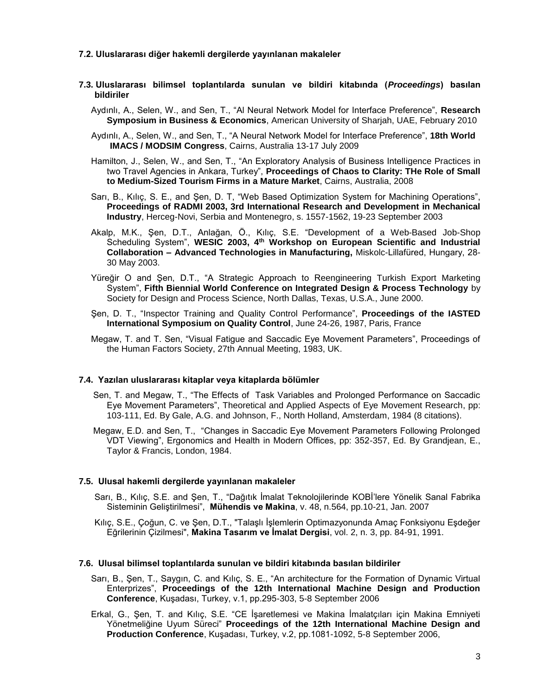### **7.2. Uluslararası diğer hakemli dergilerde yayınlanan makaleler**

- **7.3. Uluslararası bilimsel toplantılarda sunulan ve bildiri kitabında (***Proceedings***) basılan bildiriler** 
	- Aydınlı, A., Selen, W., and Sen, T., "Al Neural Network Model for Interface Preference", **Research Symposium in Business & Economics**, American University of Sharjah, UAE, February 2010
	- Aydınlı, A., Selen, W., and Sen, T., "A Neural Network Model for Interface Preference", **18th World IMACS / MODSIM Congress**, Cairns, Australia 13-17 July 2009
	- Hamilton, J., Selen, W., and Sen, T., "An Exploratory Analysis of Business Intelligence Practices in two Travel Agencies in Ankara, Turkey", **Proceedings of Chaos to Clarity: THe Role of Small to Medium-Sized Tourism Firms in a Mature Market**, Cairns, Australia, 2008
	- Sarı, B., Kılıç, S. E., and Şen, D. T, "Web Based Optimization System for Machining Operations", **Proceedings of RADMI 2003, 3rd International Research and Development in Mechanical Industry**, Herceg-Novi, Serbia and Montenegro, s. 1557-1562, 19-23 September 2003
	- Akalp, M.K., Şen, D.T., Anlağan, Ö., Kılıç, S.E. "Development of a Web-Based Job-Shop Scheduling System", **WESIC 2003, 4th Workshop on European Scientific and Industrial Collaboration – Advanced Technologies in Manufacturing,** Miskolc-Lillafüred, Hungary, 28- 30 May 2003.
	- Yüreğir O and Şen, D.T., "A Strategic Approach to Reengineering Turkish Export Marketing System", **Fifth Biennial World Conference on Integrated Design & Process Technology** by Society for Design and Process Science, North Dallas, Texas, U.S.A., June 2000.
	- Şen, D. T., "Inspector Training and Quality Control Performance", **Proceedings of the IASTED International Symposium on Quality Control**, June 24-26, 1987, Paris, France
	- Megaw, T. and T. Sen, "Visual Fatigue and Saccadic Eye Movement Parameters", Proceedings of the Human Factors Society, 27th Annual Meeting, 1983, UK.

#### **7.4. Yazılan uluslararası kitaplar veya kitaplarda bölümler**

- Sen, T. and Megaw, T., "The Effects of Task Variables and Prolonged Performance on Saccadic Eye Movement Parameters", Theoretical and Applied Aspects of Eye Movement Research, pp: 103-111, Ed. By Gale, A.G. and Johnson, F., North Holland, Amsterdam, 1984 (8 citations).
- Megaw, E.D. and Sen, T., "Changes in Saccadic Eye Movement Parameters Following Prolonged VDT Viewing", Ergonomics and Health in Modern Offices, pp: 352-357, Ed. By Grandjean, E., Taylor & Francis, London, 1984.

#### **7.5. Ulusal hakemli dergilerde yayınlanan makaleler**

- Sarı, B., Kılıç, S.E. and Şen, T., "Dağıtık İmalat Teknolojilerinde KOBİ'lere Yönelik Sanal Fabrika Sisteminin Geliştirilmesi", **Mühendis ve Makina**, v. 48, n.564, pp.10-21, Jan. 2007
- Kılıç, S.E., Çoğun, C. ve Şen, D.T., "Talaşlı İşlemlerin Optimazyonunda Amaç Fonksiyonu Eşdeğer Eğrilerinin Çizilmesi", **Makina Tasarım ve İmalat Dergisi**, vol. 2, n. 3, pp. 84-91, 1991.

#### **7.6. Ulusal bilimsel toplantılarda sunulan ve bildiri kitabında basılan bildiriler**

- Sarı, B., Şen, T., Saygın, C. and Kılıç, S. E., "An architecture for the Formation of Dynamic Virtual Enterprizes", **Proceedings of the 12th International Machine Design and Production Conference**, Kuşadası, Turkey, v.1, pp.295-303, 5-8 September 2006
- Erkal, G., Şen, T. and Kılıç, S.E. "CE İşaretlemesi ve Makina İmalatçıları için Makina Emniyeti Yönetmeliğine Uyum Süreci" **Proceedings of the 12th International Machine Design and Production Conference**, Kuşadası, Turkey, v.2, pp.1081-1092, 5-8 September 2006,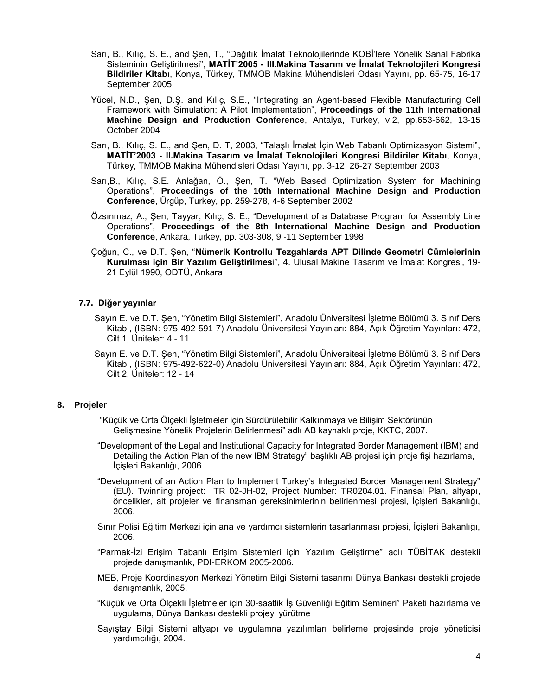- Sarı, B., Kılıç, S. E., and Şen, T., "Dağıtık İmalat Teknolojilerinde KOBİ'lere Yönelik Sanal Fabrika Sisteminin Geliştirilmesi", **MATİT'2005 - III.Makina Tasarım ve İmalat Teknolojileri Kongresi Bildiriler Kitabı**, Konya, Türkey, TMMOB Makina Mühendisleri Odası Yayını, pp. 65-75, 16-17 September 2005
- Yücel, N.D., Şen, D.Ş. and Kılıç, S.E., "Integrating an Agent-based Flexible Manufacturing Cell Framework with Simulation: A Pilot Implementation", **Proceedings of the 11th International Machine Design and Production Conference**, Antalya, Turkey, v.2, pp.653-662, 13-15 October 2004
- Sarı, B., Kılıç, S. E., and Şen, D. T, 2003, "Talaşlı İmalat İçin Web Tabanlı Optimizasyon Sistemi", **MATİT'2003 - II.Makina Tasarım ve İmalat Teknolojileri Kongresi Bildiriler Kitabı**, Konya, Türkey, TMMOB Makina Mühendisleri Odası Yayını, pp. 3-12, 26-27 September 2003
- Sarı,B., Kılıç, S.E. Anlağan, Ö., Şen, T. "Web Based Optimization System for Machining Operations", **Proceedings of the 10th International Machine Design and Production Conference**, Ürgüp, Turkey, pp. 259-278, 4-6 September 2002
- Özsınmaz, A., Şen, Tayyar, Kılıç, S. E., "Development of a Database Program for Assembly Line Operations", **Proceedings of the 8th International Machine Design and Production Conference**, Ankara, Turkey, pp. 303-308, 9 -11 September 1998
- Çoğun, C., ve D.T. Şen, "**Nümerik Kontrollu Tezgahlarda APT Dilinde Geometri Cümlelerinin Kurulması için Bir Yazılım Geliştirilmes**i", 4. Ulusal Makine Tasarım ve İmalat Kongresi, 19- 21 Eylül 1990, ODTÜ, Ankara

## **7.7. Diğer yayınlar**

- Sayın E. ve D.T. Şen, "Yönetim Bilgi Sistemleri", Anadolu Üniversitesi İşletme Bölümü 3. Sınıf Ders Kitabı, (ISBN: 975-492-591-7) Anadolu Üniversitesi Yayınları: 884, Açık Öğretim Yayınları: 472, Cilt 1, Üniteler: 4 - 11
- Sayın E. ve D.T. Şen, "Yönetim Bilgi Sistemleri", Anadolu Üniversitesi İşletme Bölümü 3. Sınıf Ders Kitabı, (ISBN: 975-492-622-0) Anadolu Üniversitesi Yayınları: 884, Açık Öğretim Yayınları: 472, Cilt 2, Üniteler: 12 - 14

## **8. Projeler**

- "Küçük ve Orta Ölçekli İşletmeler için Sürdürülebilir Kalkınmaya ve Bilişim Sektörünün Gelişmesine Yönelik Projelerin Belirlenmesi" adlı AB kaynaklı proje, KKTC, 2007.
- "Development of the Legal and Institutional Capacity for Integrated Border Management (IBM) and Detailing the Action Plan of the new IBM Strategy" başlıklı AB projesi için proje fişi hazırlama, İçişleri Bakanlığı, 2006
- "Development of an Action Plan to Implement Turkey's Integrated Border Management Strategy" (EU). Twinning project: TR 02-JH-02, Project Number: TR0204.01. Finansal Plan, altyapı, öncelikler, alt projeler ve finansman gereksinimlerinin belirlenmesi projesi, İçişleri Bakanlığı, 2006.
- Sınır Polisi Eğitim Merkezi için ana ve yardımcı sistemlerin tasarlanması projesi, İçişleri Bakanlığı, 2006.
- "Parmak-İzi Erişim Tabanlı Erişim Sistemleri için Yazılım Geliştirme" adlı TÜBİTAK destekli projede danışmanlık, PDI-ERKOM 2005-2006.
- MEB, Proje Koordinasyon Merkezi Yönetim Bilgi Sistemi tasarımı Dünya Bankası destekli projede danışmanlık, 2005.
- "Küçük ve Orta Ölçekli İşletmeler için 30-saatlik İş Güvenliği Eğitim Semineri" Paketi hazırlama ve uygulama, Dünya Bankası destekli projeyi yürütme
- Sayıştay Bilgi Sistemi altyapı ve uygulamna yazılımları belirleme projesinde proje yöneticisi yardımcılığı, 2004.